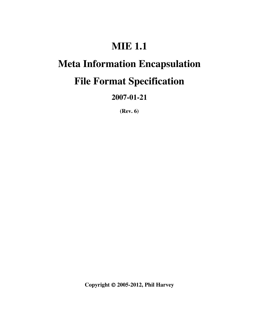# **MIE 1.1**

# **Meta Information Encapsulation**

# **File Format Specification**

**2007-01-21**

**(Rev. 6)**

**Copyright 2005-2012, Phil Harvey**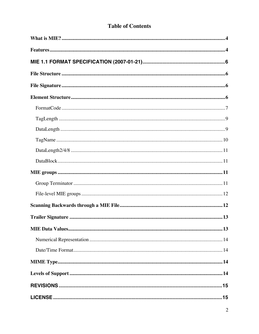### **Table of Contents**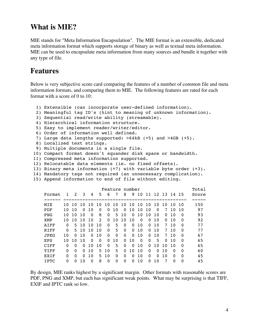## **What is MIE?**

MIE stands for "Meta Information Encapsulation". The MIE format is an extensible, dedicated meta information format which supports storage of binary as well as textual meta information. MIE can be used to encapsulate meta information from many sources and bundle it together with any type of file.

## **Features**

Below is very subjective score card comparing the features of a number of common file and meta information formats, and comparing them to MIE. The following features are rated for each format with a score of 0 to 10:

```
 1) Extensible (can incorporate user-defined information).
  2) Meaningful tag ID's (hint to meaning of unknown information).
  3) Sequential read/write ability (streamable).
  4) Hierarchical information structure.
  5) Easy to implement reader/writer/editor.
  6) Order of information well defined.
  7) Large data lengths supported: >64kB (+5) and >4GB (+5).
 8) Localized text strings.
  9) Multiple documents in a single file.
 10) Compact format doesn't squander disk space or bandwidth.
 11) Compressed meta information supported.
 12) Relocatable data elements (ie. no fixed offsets).
 13) Binary meta information (+7) with variable byte order (+3).
 14) Mandatory tags not required (an unnecessary complication).
 15) Append information to end of file without editing.
```

| Feature number |          |               |          |          |               |          |          |             |          |          |          | Total    |             |          |          |       |
|----------------|----------|---------------|----------|----------|---------------|----------|----------|-------------|----------|----------|----------|----------|-------------|----------|----------|-------|
| Format         |          | $\mathcal{L}$ | 3        | 4        | 5             | 6        | 7        | 8           | 9        | 10       | 11       |          | 12 13 14 15 |          |          | Score |
|                |          |               |          |          |               |          |          |             |          |          |          |          |             |          |          |       |
| MIE            | 1 O      | 1 O           | $\Omega$ | 10       | 1<br>$\Omega$ | 10       | 10       | 10          | 1 O      | 10       | 10       | 10       | 1 O         | 1 O      | - 1 O    | 150   |
| PDF            | 1 O      | 1 O           | $\Omega$ | 10       | 0             | 0        | 10       | 0           | 10       | 10       | 10       | $\Omega$ | 7           | 10       | 1 O      | 97    |
| <b>PNG</b>     | 10       | 10            | 10       | $\Omega$ | 8             | $\Omega$ | 5        | 10          | 0        | 10       | 10       | 10       | 0           | 10       | $\Omega$ | 93    |
| <b>XMP</b>     | 10.      | 10            | 10       | 10       | $\mathcal{L}$ | 0        | 10       | 10          | 10       | $\Omega$ | $\Omega$ | 10       | 0           | 10       | $\Omega$ | 92    |
| AIFF           | 0        | 5.            | 10       | 10       | 10            | $\Omega$ | 5        | $\Omega$    | $\Omega$ | 10       | $\Omega$ | 10       | 7           | 10       | $\Omega$ | 77    |
| RIFF           | $\Omega$ | 5.            | 10       | 10       | 1 O           | $\Omega$ | 5        | $\Omega$    | $\Omega$ | 10       | $\Omega$ | 10       | 7           | 10       | $\Omega$ | 77    |
| JPEG           | 10       | $\Omega$      | 10       | $\Omega$ | 10            | $\Omega$ | $\Omega$ | $\mathbf 0$ | $\Omega$ | 10       | $\Omega$ | 10       | 7           | 10       | $\Omega$ | 67    |
| <b>EPS</b>     | 10       | 1 O           | 10       | $\Omega$ | $\Omega$      | $\Omega$ | 10       | $\Omega$    | 10       | $\Omega$ | $\Omega$ | .5       | $\Omega$    | 10       | $\Omega$ | 65    |
| CIFF           | 0        | 0             | 0        | 10       | 10            | $\Omega$ | 5        | $\Omega$    | $\Omega$ | 10       | 0        | 10       | 10          | 10       | $\Omega$ | 65    |
| TTFF           | $\Omega$ | 0             | $\Omega$ | 10       | 5.            | 10       | 5        | $\Omega$    | 10       | 1 O      | $\Omega$ | $\Omega$ | 1 O         | 0        | $\Omega$ | 60    |
| <b>EXIF</b>    | $\Omega$ | 0             | $\Omega$ | 10       | 5.            | 10       | $\Omega$ | 0           | $\Omega$ | 10       | $\Omega$ | $\Omega$ | 10          | 0        | $\Omega$ | 45    |
| T PTC          | $\Omega$ | 0             | 10       | $\Omega$ | 8             | $\Omega$ | $\Omega$ | 0           | 0        | 10       | $\Omega$ | 10       | 7           | $\Omega$ | $\Omega$ | 45    |
|                |          |               |          |          |               |          |          |             |          |          |          |          |             |          |          |       |

By design, MIE ranks highest by a significant margin. Other formats with reasonable scores are PDF, PNG and XMP, but each has significant weak points. What may be surprising is that TIFF, EXIF and IPTC rank so low.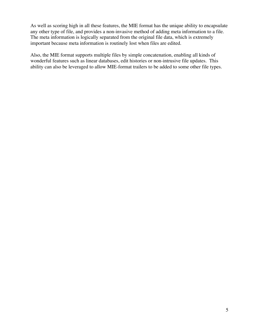As well as scoring high in all these features, the MIE format has the unique ability to encapsulate any other type of file, and provides a non-invasive method of adding meta information to a file. The meta information is logically separated from the original file data, which is extremely important because meta information is routinely lost when files are edited.

Also, the MIE format supports multiple files by simple concatenation, enabling all kinds of wonderful features such as linear databases, edit histories or non-intrusive file updates. This ability can also be leveraged to allow MIE-format trailers to be added to some other file types.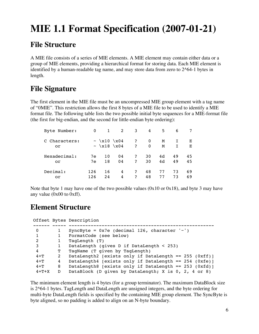# **MIE 1.1 Format Specification (2007-01-21)**

## **File Structure**

A MIE file consists of a series of MIE elements. A MIE element may contain either data or a group of MIE elements, providing a hierarchical format for storing data. Each MIE element is identified by a human-readable tag name, and may store data from zero to 2^64-1 bytes in length.

## **File Signature**

The first element in the MIE file must be an uncompressed MIE group element with a tag name of "0MIE". This restriction allows the first 8 bytes of a MIE file to be used to identify a MIE format file. The following table lists the two possible initial byte sequences for a MIE-format file (the first for big-endian, and the second for little-endian byte ordering):

| Byte Number:        | 0   | 1                                       | $2^{\circ}$ | 3            | 4                 | 5      | 6  |        |
|---------------------|-----|-----------------------------------------|-------------|--------------|-------------------|--------|----|--------|
| C Characters:<br>or |     | $\sim \x10 \ \x04$<br>$~\sim~\x18~\x04$ |             | 2<br>2       | $\mathbf{0}$<br>0 | M<br>М | Т  | Е<br>Е |
| Hexadecimal:        | 7e  | 10                                      | 04          | 2            | 30                | 4d     | 49 | 45     |
| or                  | 7e  | 18                                      | 04          | $\mathbf{P}$ | 30                | 4d     | 49 | 45     |
| Decimal:            | 126 | 16                                      | 4           | 2            | 48                | 77     | 73 | 69     |
| or                  | 126 | 2.4                                     | 4           | 2            | 48                | 77     | 73 | 69     |

Note that byte 1 may have one of the two possible values  $(0x10 \text{ or } 0x18)$ , and byte 3 may have any value (0x00 to 0xff).

## **Element Structure**

|         |   | Offset Bytes Description                                |
|---------|---|---------------------------------------------------------|
|         |   |                                                         |
| 0       |   | SyncByte = $0x7e$ (decimal 126, character '~')          |
| 1       |   | FormatCode (see below)                                  |
| 2       |   | TaqLength (T)                                           |
| 3       |   | DataLength (gives D if DataLength < 253)                |
| 4       | т | TagName (T given by TagLength)                          |
| $4 + T$ | 2 | DataLength2 [exists only if DataLength == $255$ (0xff)] |
| $4 + T$ | 4 | DataLength4 [exists only if DataLength == 254 (0xfe)]   |
| $4 + T$ | 8 | DataLength8 [exists only if DataLength == 253 (0xfd)]   |
| $4+T+X$ | D | DataBlock (D given by DataLength; X is 0, 2, 4 or 8)    |

The minimum element length is 4 bytes (for a group terminator). The maximum DataBlock size is 2^64-1 bytes. TagLength and DataLength are unsigned integers, and the byte ordering for multi-byte DataLength fields is specified by the containing MIE group element. The SyncByte is byte aligned, so no padding is added to align on an N-byte boundary.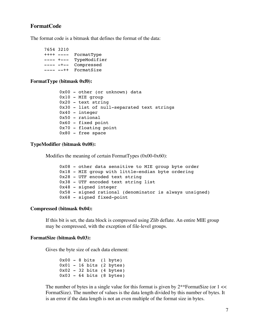#### **FormatCode**

The format code is a bitmask that defines the format of the data:

 7654 3210 ++++ ---- FormatType ---- +--- TypeModifier ---- -+-- Compressed ---- --++ FormatSize

#### **FormatType (bitmask 0xf0):**

 0x00 - other (or unknown) data  $0x10 - MIE$  group 0x20 - text string 0x30 - list of null-separated text strings 0x40 - integer 0x50 - rational 0x60 - fixed point 0x70 - floating point 0x80 - free space

#### **TypeModifier (bitmask 0x08):**

Modifies the meaning of certain FormatTypes (0x00-0x60):

 0x08 - other data sensitive to MIE group byte order 0x18 - MIE group with little-endian byte ordering 0x28 - UTF encoded text string 0x38 - UTF encoded text string list 0x48 - signed integer 0x58 - signed rational (denominator is always unsigned) 0x68 - signed fixed-point

#### **Compressed (bitmask 0x04):**

If this bit is set, the data block is compressed using Zlib deflate. An entire MIE group may be compressed, with the exception of file-level groups.

#### **FormatSize (bitmask 0x03):**

Gives the byte size of each data element:

 $0x00 - 8 \text{ bits } (1 \text{ byte})$  0x01 - 16 bits (2 bytes) 0x02 - 32 bits (4 bytes) 0x03 - 64 bits (8 bytes)

The number of bytes in a single value for this format is given by  $2^{**}$ FormatSize (or  $1 \ll$ FormatSize). The number of values is the data length divided by this number of bytes. It is an error if the data length is not an even multiple of the format size in bytes.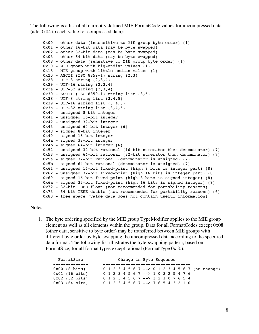The following is a list of all currently defined MIE FormatCode values for uncompressed data (add 0x04 to each value for compressed data):

```
 0x00 - other data (insensitive to MIE group byte order) (1)
 0x01 - other 16-bit data (may be byte swapped)
 0x02 - other 32-bit data (may be byte swapped)
 0x03 - other 64-bit data (may be byte swapped)
0x08 - other data (sensitive to MIE group byte order) (1)
 0x10 - MIE group with big-endian values (1)
 0x18 - MIE group with little-endian values (1)
 0x20 - ASCII (ISO 8859-1) string (2,3)
 0x28 - UTF-8 string (2,3,4)
 0x29 - UTF-16 string (2,3,4)
0x2a - UTF-32 string (2,3,4) 0x30 - ASCII (ISO 8859-1) string list (3,5)
0x38 - UTF-8 string list (3, 4, 5) 0x39 - UTF-16 string list (3,4,5)
 0x3a - UTF-32 string list (3,4,5)
 0x40 - unsigned 8-bit integer
 0x41 - unsigned 16-bit integer
 0x42 - unsigned 32-bit integer
 0x43 - unsigned 64-bit integer (6)
 0x48 - signed 8-bit integer
 0x49 - signed 16-bit integer
 0x4a - signed 32-bit integer
 0x4b - signed 64-bit integer (6)
 0x52 - unsigned 32-bit rational (16-bit numerator then denominator) (7)
 0x53 - unsigned 64-bit rational (32-bit numerator then denominator) (7)
 0x5a - signed 32-bit rational (denominator is unsigned) (7)
 0x5b - signed 64-bit rational (denominator is unsigned) (7)
 0x61 - unsigned 16-bit fixed-point (high 8 bits is integer part) (8)
 0x62 - unsigned 32-bit fixed-point (high 16 bits is integer part) (8)
 0x69 - signed 16-bit fixed-point (high 8 bits is signed integer) (8)
 0x6a - signed 32-bit fixed-point (high 16 bits is signed integer) (8)
 0x72 - 32-bit IEEE float (not recommended for portability reasons)
 0x73 - 64-bit IEEE double (not recommended for portability reasons) (6)
 0x80 - free space (value data does not contain useful information)
```
#### Notes:

1. The byte ordering specified by the MIE group TypeModifier applies to the MIE group element as well as all elements within the group. Data for all FormatCodes except 0x08 (other data, sensitive to byte order) may be transferred between MIE groups with different byte order by byte swapping the uncompressed data according to the specified data format. The following list illustrates the byte-swapping pattern, based on FormatSize, for all format types except rational (FormatType 0x50).

| FormatSize       | Change in Byte Sequence                         |
|------------------|-------------------------------------------------|
| $0x00$ (8 bits)  | 0 1 2 3 4 5 6 7 --> 0 1 2 3 4 5 6 7 (no change) |
| $0x01$ (16 bits) | 0 1 2 3 4 5 6 7 --> 1 0 3 2 5 4 7 6             |
| $0x02$ (32 bits) | 0 1 2 3 4 5 6 7 --> 3 2 1 0 7 6 5 4             |
| $0x03$ (64 bits) | 0 1 2 3 4 5 6 7 --> 7 6 5 4 3 2 1 0             |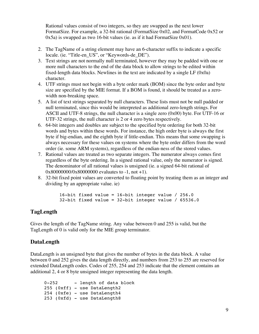Rational values consist of two integers, so they are swapped as the next lower FormatSize. For example, a 32-bit rational (FormatSize 0x02, and FormatCode 0x52 or 0x5a) is swapped as two 16-bit values (ie. as if it had FormatSize 0x01).

- 2. The TagName of a string element may have an 6-character suffix to indicate a specific locale. (ie. "Title-en\_US", or "Keywords-de\_DE").
- 3. Text strings are not normally null terminated, however they may be padded with one or more null characters to the end of the data block to allow strings to be edited within fixed-length data blocks. Newlines in the text are indicated by a single LF (0x0a) character.
- 4. UTF strings must not begin with a byte order mark (BOM) since the byte order and byte size are specified by the MIE format. If a BOM is found, it should be treated as a zerowidth non-breaking space.
- 5. A list of text strings separated by null characters. These lists must not be null padded or null terminated, since this would be interpreted as additional zero-length strings. For ASCII and UTF-8 strings, the null character is a single zero  $(0x00)$  byte. For UTF-16 or UTF-32 strings, the null character is 2 or 4 zero bytes respectively.
- 6. 64-bit integers and doubles are subject to the specified byte ordering for both 32-bit words and bytes within these words. For instance, the high order byte is always the first byte if big-endian, and the eighth byte if little-endian. This means that some swapping is always necessary for these values on systems where the byte order differs from the word order (ie. some ARM systems), regardless of the endian-ness of the stored values.
- 7. Rational values are treated as two separate integers. The numerator always comes first regardless of the byte ordering. In a signed rational value, only the numerator is signed. The denominator of all rational values is unsigned (ie. a signed 64-bit rational of  $0x800000000/x80000000$  evaluates to  $-1$ , not  $+1$ ).
- 8. 32-bit fixed point values are converted to floating point by treating them as an integer and dividing by an appropriate value. ie)

 16-bit fixed value = 16-bit integer value / 256.0 32-bit fixed value = 32-bit integer value / 65536.0

#### **TagLength**

Gives the length of the TagName string. Any value between 0 and 255 is valid, but the TagLength of 0 is valid only for the MIE group terminator.

#### **DataLength**

DataLength is an unsigned byte that gives the number of bytes in the data block. A value between 0 and 252 gives the data length directly, and numbers from 253 to 255 are reserved for extended DataLength codes. Codes of 255, 254 and 253 indicate that the element contains an additional 2, 4 or 8 byte unsigned integer representing the data length.

0-252 - length of data block 255 (0xff) - use DataLength2 254 (0xfe) - use DataLength4 253 (0xfd) - use DataLength8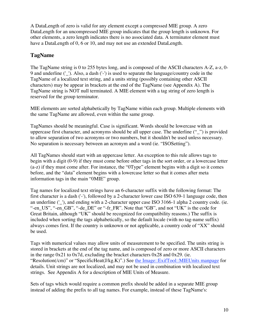A DataLength of zero is valid for any element except a compressed MIE group. A zero DataLength for an uncompressed MIE group indicates that the group length is unknown. For other elements, a zero length indicates there is no associated data. A terminator element must have a DataLength of 0, 6 or 10, and may not use an extended DataLength.

#### **TagName**

The TagName string is 0 to 255 bytes long, and is composed of the ASCII characters A-Z, a-z, 0- 9 and underline ('\_'). Also, a dash ('-') is used to separate the language/country code in the TagName of a localized text string, and a units string (possibly containing other ASCII characters) may be appear in brackets at the end of the TagName (see Appendix A). The TagName string is NOT null terminated. A MIE element with a tag string of zero length is reserved for the group terminator.

MIE elements are sorted alphabetically by TagName within each group. Multiple elements with the same TagName are allowed, even within the same group.

TagNames should be meaningful. Case is significant. Words should be lowercase with an uppercase first character, and acronyms should be all upper case. The underline ("\_") is provided to allow separation of two acronyms or two numbers, but it shouldn't be used unless necessary. No separation is necessary between an acronym and a word (ie. "ISOSetting").

All TagNames should start with an uppercase letter. An exception to this rule allows tags to begin with a digit (0-9) if they must come before other tags in the sort order, or a lowercase letter (a-z) if they must come after. For instance, the "0Type" element begins with a digit so it comes before, and the "data" element begins with a lowercase letter so that it comes after meta information tags in the main "0MIE" group.

Tag names for localized text strings have an 6-character suffix with the following format: The first character is a dash ('-'), followed by a 2-character lower case ISO 639-1 language code, then an underline (' $'$ ), and ending with a 2-character upper case ISO 3166-1 alpha 2 country code. (ie. "-en\_US", "-en\_GB", "-de\_DE" or "-fr\_FR". Note that "GB", and not "UK" is the code for Great Britain, although "UK" should be recognized for compatibility reasons.) The suffix is included when sorting the tags alphabetically, so the default locale (with no tag-name suffix) always comes first. If the country is unknown or not applicable, a country code of "XX" should be used.

Tags with numerical values may allow units of measurement to be specified. The units string is stored in brackets at the end of the tag name, and is composed of zero or more ASCII characters in the range  $0x21$  to  $0x7d$ , excluding the bracket characters  $0x28$  and  $0x29$ . (ie. "Resolution(/cm)" or "SpecificHeat(J/kg.K)".) See the Image::ExifTool::MIEUnits manpage for details. Unit strings are not localized, and may not be used in combination with localized text strings. See Appendix A for a description of MIE Units of Measure.

Sets of tags which would require a common prefix should be added in a separate MIE group instead of adding the prefix to all tag names. For example, instead of these TagName's: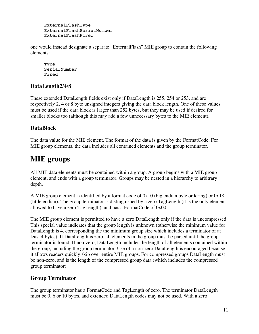ExternalFlashType ExternalFlashSerialNumber ExternalFlashFired

one would instead designate a separate "ExternalFlash" MIE group to contain the following elements:

 Type SerialNumber Fired

### **DataLength2/4/8**

These extended DataLength fields exist only if DataLength is 255, 254 or 253, and are respectively 2, 4 or 8 byte unsigned integers giving the data block length. One of these values must be used if the data block is larger than 252 bytes, but they may be used if desired for smaller blocks too (although this may add a few unnecessary bytes to the MIE element).

### **DataBlock**

The data value for the MIE element. The format of the data is given by the FormatCode. For MIE group elements, the data includes all contained elements and the group terminator.

## **MIE groups**

All MIE data elements must be contained within a group. A group begins with a MIE group element, and ends with a group terminator. Groups may be nested in a hierarchy to arbitrary depth.

A MIE group element is identified by a format code of  $0x10$  (big endian byte ordering) or  $0x18$ (little endian). The group terminator is distinguished by a zero TagLength (it is the only element allowed to have a zero TagLength), and has a FormatCode of 0x00.

The MIE group element is permitted to have a zero DataLength only if the data is uncompressed. This special value indicates that the group length is unknown (otherwise the minimum value for DataLength is 4, corresponding the the minimum group size which includes a terminator of at least 4 bytes). If DataLength is zero, all elements in the group must be parsed until the group terminator is found. If non-zero, DataLength includes the length of all elements contained within the group, including the group terminator. Use of a non-zero DataLength is encouraged because it allows readers quickly skip over entire MIE groups. For compressed groups DataLength must be non-zero, and is the length of the compressed group data (which includes the compressed group terminator).

### **Group Terminator**

The group terminator has a FormatCode and TagLength of zero. The terminator DataLength must be 0, 6 or 10 bytes, and extended DataLength codes may not be used. With a zero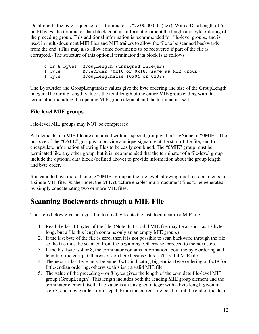DataLength, the byte sequence for a terminator is "7e 00 00 00" (hex). With a DataLength of 6 or 10 bytes, the terminator data block contains information about the length and byte ordering of the preceding group. This additional information is recommended for file-level groups, and is used in multi-document MIE files and MIE trailers to allow the file to be scanned backwards from the end. (This may also allow some documents to be recovered if part of the file is corrupted.) The structure of this optional terminator data block is as follows:

```
 4 or 8 bytes GroupLength (unsigned integer)
1 byte ByteOrder (0x10 or 0x18, same as MIE group)
 1 byte GroupLengthSize (0x04 or 0x08)
```
The ByteOrder and GroupLengthSize values give the byte ordering and size of the GroupLength integer. The GroupLength value is the total length of the entire MIE group ending with this terminator, including the opening MIE group element and the terminator itself.

### **File-level MIE groups**

File-level MIE groups may NOT be compressed.

All elements in a MIE file are contained within a special group with a TagName of "0MIE". The purpose of the "OMIE" group is to provide a unique signature at the start of the file, and to encapsulate information allowing files to be easily combined. The "0MIE" group must be terminated like any other group, but it is recommended that the terminator of a file-level group include the optional data block (defined above) to provide information about the group length and byte order.

It is valid to have more than one "0MIE" group at the file level, allowing multiple documents in a single MIE file. Furthermore, the MIE structure enables multi-document files to be generated by simply concatenating two or more MIE files.

## **Scanning Backwards through a MIE File**

The steps below give an algorithm to quickly locate the last document in a MIE file:

- 1. Read the last 10 bytes of the file. (Note that a valid MIE file may be as short as 12 bytes long, but a file this length contains only an an empty MIE group.)
- 2. If the last byte of the file is zero, then it is not possible to scan backward through the file, so the file must be scanned from the beginning. Otherwise, proceed to the next step.
- 3. If the last byte is 4 or 8, the terminator contains information about the byte ordering and length of the group. Otherwise, stop here because this isn't a valid MIE file.
- 4. The next-to-last byte must be either 0x10 indicating big-endian byte ordering or 0x18 for little-endian ordering, otherwise this isn't a valid MIE file.
- 5. The value of the preceding 4 or 8 bytes gives the length of the complete file-level MIE group (GroupLength). This length includes both the leading MIE group element and the terminator element itself. The value is an unsigned integer with a byte length given in step 3, and a byte order from step 4. From the current file position (at the end of the data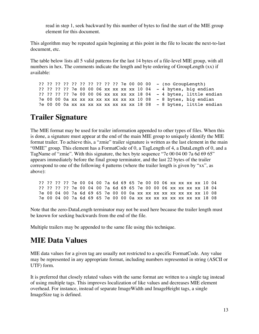read in step 1, seek backward by this number of bytes to find the start of the MIE group element for this document.

This algorithm may be repeated again beginning at this point in the file to locate the next-to-last document, etc.

The table below lists all 5 valid patterns for the last 14 bytes of a file-level MIE group, with all numbers in hex. The comments indicate the length and byte ordering of GroupLength (xx) if available:

 ?? ?? ?? ?? ?? ?? ?? ?? ?? ?? 7e 00 00 00 - (no GroupLength) ?? ?? ?? ?? 7e 00 00 06 xx xx xx xx 10 04 - 4 bytes, big endian ?? ?? ?? ?? 7e 00 00 06 xx xx xx xx 18 04 - 4 bytes, little endian 7e 00 00 0a xx xx xx xx xx xx xx xx 10 08 - 8 bytes, big endian 7e 00 00 0a xx xx xx xx xx xx xx xx 18 08 - 8 bytes, little endian

## **Trailer Signature**

The MIE format may be used for trailer information appended to other types of files. When this is done, a signature must appear at the end of the main MIE group to uniquely identify the MIE format trailer. To achieve this, a "zmie" trailer signature is written as the last element in the main "0MIE" group. This element has a FormatCode of 0, a TagLength of 4, a DataLength of 0, and a TagName of "zmie". With this signature, the hex byte sequence "7e 00 04 00 7a 6d 69 65" appears immediately before the final group terminator, and the last 22 bytes of the trailer correspond to one of the following 4 patterns (where the trailer length is given by "xx", as above):

|  |  | ?? ?? ?? ?? 7e 00 04 00 7a 6d 69 65 7e 00 00 06 xx xx xx xx 10 04 |  |  |  |  |  |  |  |  |  |
|--|--|-------------------------------------------------------------------|--|--|--|--|--|--|--|--|--|
|  |  | ?? ?? ?? ?? 7e 00 04 00 7a 6d 69 65 7e 00 00 06 xx xx xx xx 18 04 |  |  |  |  |  |  |  |  |  |
|  |  | 7e 00 04 00 7a 6d 69 65 7e 00 00 0a xx xx xx xx xx xx xx xx 10 08 |  |  |  |  |  |  |  |  |  |
|  |  | 7e 00 04 00 7a 6d 69 65 7e 00 00 0a xx xx xx xx xx xx xx xx 18 08 |  |  |  |  |  |  |  |  |  |

Note that the zero-DataLength terminator may not be used here because the trailer length must be known for seeking backwards from the end of the file.

Multiple trailers may be appended to the same file using this technique.

## **MIE Data Values**

MIE data values for a given tag are usually not restricted to a specific FormatCode. Any value may be represented in any appropriate format, including numbers represented in string (ASCII or UTF) form.

It is preferred that closely related values with the same format are written to a single tag instead of using multiple tags. This improves localization of like values and decreases MIE element overhead. For instance, instead of separate ImageWidth and ImageHeight tags, a single ImageSize tag is defined.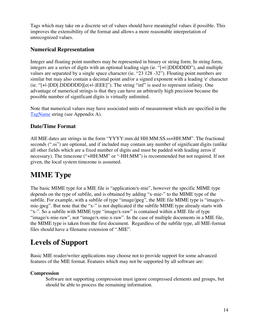Tags which may take on a discrete set of values should have meaningful values if possible. This improves the extensibility of the format and allows a more reasonable interpretation of unrecognized values.

#### **Numerical Representation**

Integer and floating point numbers may be represented in binary or string form. In string form, integers are a series of digits with an optional leading sign (ie. "[+|-]DDDDDD"), and multiple values are separated by a single space character (ie. "23 128 -32"). Floating point numbers are similar but may also contain a decimal point and/or a signed exponent with a leading 'e' character (ie. "[+|-]DD[.DDDDDD][e(+|-)EEE]"). The string "inf" is used to represent infinity. One advantage of numerical strings is that they can have an arbitrarily high precision because the possible number of significant digits is virtually unlimited.

Note that numerical values may have associated units of measurement which are specified in the TagName string (see Appendix A).

#### **Date/Time Format**

All MIE dates are strings in the form "YYYY:mm:dd HH:MM:SS.ss+HH:MM". The fractional seconds (".ss") are optional, and if included may contain any number of significant digits (unlike all other fields which are a fixed number of digits and must be padded with leading zeros if necessary). The timezone ("+HH:MM" or "-HH:MM") is recommended but not required. If not given, the local system timezone is assumed.

# **MIME Type**

The basic MIME type for a MIE file is "application/x-mie", however the specific MIME type depends on the type of subfile, and is obtained by adding "x-mie-" to the MIME type of the subfile. For example, with a subfile of type "image/jpeg", the MIE file MIME type is "image/xmie-jpeg". But note that the "x-" is not duplicated if the subfile MIME type already starts with "x-". So a subfile with MIME type "image/x-raw" is contained within a MIE file of type "image/x-mie-raw", not "image/x-mie-x-raw". In the case of multiple documents in a MIE file, the MIME type is taken from the first document. Regardless of the subfile type, all MIE-format files should have a filename extension of ".MIE".

## **Levels of Support**

Basic MIE reader/writer applications may choose not to provide support for some advanced features of the MIE format. Features which may not be supported by all software are:

#### **Compression**

Software not supporting compression must ignore compressed elements and groups, but should be able to process the remaining information.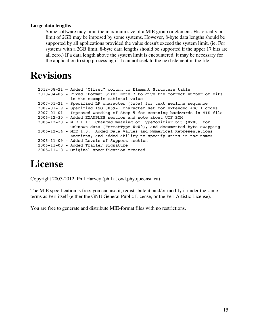#### **Large data lengths**

Some software may limit the maximum size of a MIE group or element. Historically, a limit of 2GB may be imposed by some systems. However, 8-byte data lengths should be supported by all applications provided the value doesn't exceed the system limit. (ie. For systems with a 2GB limit, 8-byte data lengths should be supported if the upper 17 bits are all zero.) If a data length above the system limit is encountered, it may be necessary for the application to stop processing if it can not seek to the next element in the file.

# **Revisions**

```
 2012-08-21 – Added "Offset" column to Element Structure table
   2010-04-05 - Fixed "Format Size" Note 7 to give the correct number of bits
                in the example rational value
   2007-01-21 - Specified LF character (0x0a) for text newline sequence
   2007-01-19 - Specified ISO 8859-1 character set for extended ASCII codes
   2007-01-01 - Improved wording of Step 5 for scanning backwards in MIE file
   2006-12-30 - Added EXAMPLES section and note about UTF BOM
   2006-12-20 - MIE 1.1: Changed meaning of TypeModifier bit (0x08) for
                unknown data (FormatType 0x00), and documented byte swapping
 2006-12-14 - MIE 1.0: Added Data Values and Numerical Representations
 sections, and added ability to specify units in tag names
   2006-11-09 - Added Levels of Support section
   2006-11-03 - Added Trailer Signature
   2005-11-18 - Original specification created
```
# **License**

Copyright 2005-2012, Phil Harvey (phil at owl.phy.queensu.ca)

The MIE specification is free; you can use it, redistribute it, and/or modify it under the same terms as Perl itself (either the GNU General Public License, or the Perl Artistic License).

You are free to generate and distribute MIE-format files with no restrictions.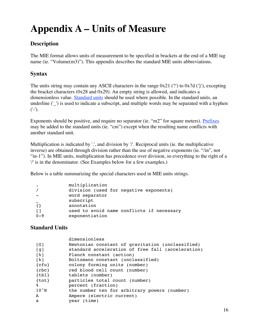# **Appendix A – Units of Measure**

### **Description**

The MIE format allows units of measurement to be specified in brackets at the end of a MIE tag name (ie. "Volume(m3)"). This appendix describes the standard MIE units abbreviations.

### **Syntax**

The units string may contain any ASCII characters in the range  $0x21$  ('!') to  $0x7d$  ('}'), excepting the bracket characters (0x28 and 0x29). An empty string is allowed, and indicates a dimensionless value. Standard units should be used where possible. In the standard units, an underline ('') is used to indicate a subscript, and multiple words may be separated with a hyphen  $('-').$ 

Exponents should be positive, and require no separator (ie. "m2" for square meters). Prefixes may be added to the standard units (ie. "cm") except when the resulting name conflicts with another standard unit.

Multiplication is indicated by '.', and division by '/'. Reciprocal units (ie. the multiplicative inverse) are obtained through division rather than the use of negative exponents (ie. "/in", not "in-1"). In MIE units, multiplication has precedence over division, so everything to the right of a '/' is in the denominator. (See Examples below for a few examples.)

Below is a table summarizing the special characters used in MIE units strings.

| $\bullet$      | multiplication<br>division (used for negative exponents)<br>word separator             |
|----------------|----------------------------------------------------------------------------------------|
| { }<br>$0 - 9$ | subscript<br>annotation<br>used to avoid name conflicts if necessary<br>exponentiation |

#### **Standard Units**

|                   | dimensionless                                     |
|-------------------|---------------------------------------------------|
| $\lceil G \rceil$ | Newtonian constant of gravitation (unclassified)  |
| [g]               | standard acceleration of free fall (acceleration) |
| [h]               | Planck constant (action)                          |
| [k]               | Boltzmann constant (unclassified)                 |
| ${cfu}$           | colony forming units (number)                     |
| $\{rbc\}$         | red blood cell count (number)                     |
| ${tb1}$           | tablets (number)                                  |
| $\{tot\}$         | particles total count (number)                    |
| နွ                | percent (fraction)                                |
| $10^{\circ}$ N    | the number ten for arbitrary powers (number)      |
| A                 | Ampere (electric current)                         |
| a                 | year (time)                                       |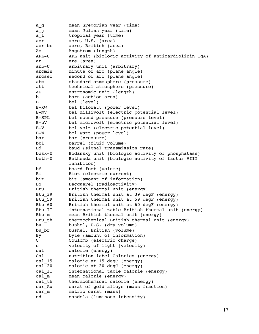a q accomean Gregorian year (time) a j mean Julian year (time) a t tropical year (time) acr acre, U.S. (area) acr br acre, British (area) Ao Angstrom (length) APL-U APL unit (biologic activity of anticardiolipin IgA) ar are (area) arb-U arbitrary unit (arbitrary) arcmin minute of arc (plane angle) arcsec second of arc (plane angle) atm standard atmosphere (pressure) att technical atmosphere (pressure) AU astronomic unit (length) b barn (action area) B bel (level) B-kW bel kilowatt (power level) B-mV bel millivolt (electric potential level) B-SPL bel sound pressure (pressure level) B-uV bel microvolt (electric potential level) B-V bel volt (electric potential level) B-W bel watt (power level) bar bar (pressure) bbl barrel (fluid volume) Bd baud (signal transmission rate) bdsk-U Bodansky unit (biologic activity of phosphatase) beth-U Bethesda unit (biologic activity of factor VIII inhibitor) bf board foot (volume) Bi Biot (electric current) bit bit (amount of information) Bq Becquerel (radioactivity) Btu British thermal unit (energy) Btu 39 British thermal unit at 39 degF (energy) Btu 59 British thermal unit at 59 degF (energy) Btu 60 British thermal unit at 60 degF (energy) Btu IT international table British thermal unit (energy) Btu m mean British thermal unit (energy) Btu th thermochemical British thermal unit (energy) bu bushel, U.S. (dry volume) bu br bushel, British (volume) By byte (amount of information) C Coulomb (electric charge) c velocity of light (velocity) cal calorie (energy) Cal nutrition label Calories (energy) cal 15 calorie at 15 degC (energy) cal 20 calorie at 20 degC (energy) cal IT international table calorie (energy) cal m mean calorie (energy) cal th thermochemical calorie (energy) car Au carat of gold alloys (mass fraction) car m metric carat (mass) cd candela (luminous intensity)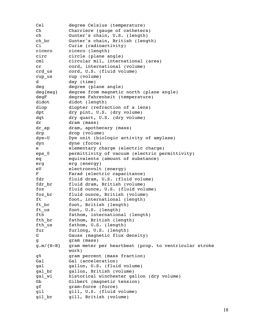Cel degree Celsius (temperature) Ch Charriere (gauge of catheters) ch Gunter's chain, U.S. (length) ch br Gunter's chain, British (length) Ci Curie (radioactivity) cicero cicero (length) circ circle (plane angle) cml circular mil, international (area) cr cord, international (volume) crd us cord, U.S. (fluid volume) cup us cup (volume) d day (time) deg degree (plane angle) deg{mag} degree from magnetic north (plane angle) degF degree Fahrenheit (temperature) didot didot (length) diop diopter (refraction of a lens) dpt dry pint, U.S. (dry volume) dqt dry quart, U.S. (dry volume) dr dram (mass) dr ap dram, apothecary (mass) drp drop (volume) dye-U Dye unit (biologic activity of amylase) dyn dyne (force) e elementary charge (electric charge) eps\_0 permittivity of vacuum (electric permittivity) eq equivalents (amount of substance) erg erg (energy) eV electronvolt (energy) F Farad (electric capacitance) fdr fluid dram, U.S. (fluid volume) fdr br fluid dram, British (volume) foz fluid ounce, U.S. (fluid volume) foz\_br fluid ounce, British (volume) ft foot, international (length) ft br foot, British (length) ft us foot, U.S. (length) fth fathom, international (length) fth br fathom, British (length) fth us fathom, U.S. (length) fur furlong, U.S. (length) G Gauss (magnetic flux density) g gram (mass) g.m/{H-B} gram meter per heartbeat (prop. to ventricular stroke work) g% gram percent (mass fraction) Gal (acceleration) gal gallon, U.S. (fluid volume) gal\_br gallon, British (volume) gal wi historical winchester gallon (dry volume) Gb Gilbert (magnetic tension) gf gram-force (force) gil gill, U.S. (fluid volume) gil\_br gill, British (volume)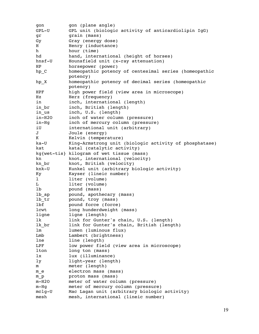gon gon (plane angle) GPL-U GPL unit (biologic activity of anticardiolipin IgG) gr grain (mass) Gy Gray (energy dose) H Henry (inductance) h hour (time) hd hand, international (height of horses) hnsf-U Hounsfield unit (x-ray attenuation) HP horsepower (power) hp\_C homeopathic potency of centesimal series (homeopathic potency) hp X homeopathic potency of decimal series (homeopathic potency) HPF high power field (view area in microscope) Hz Herz (frequency) in inch, international (length) in br inch, British (length) in us inch, U.S. (length) in-H2O inch of water column (pressure) in-Hg inch of mercury column (pressure) iU international unit (arbitrary) J Joule (energy) K Kelvin (temperature) ka-U King-Armstrong unit (biologic activity of phosphatase) kat katal (catalytic activity) kg{wet-tis} kilogram of wet tissue (mass) kn knot, international (velocity) kn br knot, British (velocity) knk-U Kunkel unit (arbitrary biologic activity) Ky Kayser (lineic number) l liter (volume) L liter (volume) lb pound (mass) lb\_ap pound, apothecary (mass) lb tr pound, troy (mass) lbf pound force (force) lcwt long hunderdweight (mass) ligne ligne (length) lk link for Gunter's chain, U.S. (length) lk br link for Gunter's chain, British (length) lm lumen (luminous flux) Lmb Lambert (brightness) lne line (length) LPF low power field (view area in microscope) lton long ton (mass) lx lux (illuminance) ly light-year (length) m meter (length) m e electron mass (mass) m\_p proton mass (mass) m-H2O meter of water column (pressure) m-Hg meter of mercury column (pressure) mclg-U Mac Lagan unit (arbitrary biologic activity) mesh mesh, international (lineic number)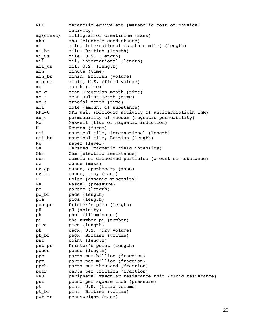MET metabolic equivalent (metabolic cost of physical activity) mg{creat} milligram of creatinine (mass) mho mho (electric conductance) mi mile, international (statute mile) (length) mi br mile, British (length) mi us mile, U.S. (length) mil mil, international (length) mil us mil, U.S. (length) min minute (time) min br minim, British (volume) min us minim, U.S. (fluid volume) mo month (time) mo g a mean Gregorian month (time) mo\_j mean Julian month (time) mo s synodal month (time) mol mole (amount of substance) MPL-U MPL unit (biologic activity of anticardiolipin IgM) mu\_0 permeability of vacuum (magnetic permeability) Mx Maxwell (flux of magnetic induction) N Newton (force) nmi nautical mile, international (length) nmi br nautical mile, British (length) Np neper (level) Oe Oersted (magnetic field intensity) Ohm Ohm (electric resistance) osm osmole of dissolved particles (amount of substance) oz ounce (mass) oz ap ounce, apothecary (mass) oz\_tr ounce, troy (mass) P Poise (dynamic viscosity) Pa Pascal (pressure) pc parsec (length) pc br pace (length) pca pica (length) pca pr Printer's pica (length) pH pH (acidity) ph phot (illuminance) pi the number pi (number) pied pied (length) pk peck, U.S. (dry volume) pk br peck, British (volume) pnt point (length) pnt pr Printer's point (length) pouce pouce (length) ppb parts per billion (fraction) ppm parts per million (fraction) ppth parts per thousand (fraction) pptr parts per trillion (fraction) PRU peripheral vascular resistance unit (fluid resistance) psi pound per square inch (pressure) pt pint, U.S. (fluid volume) pt br pint, British (volume) pwt tr pennyweight (mass)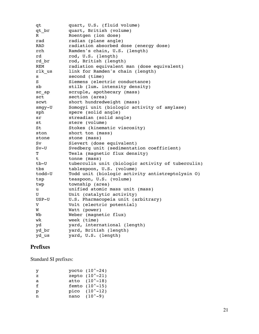qt quart, U.S. (fluid volume) qt br quart, British (volume) R Roentgen (ion dose) rad radian (plane angle) RAD radiation absorbed dose (energy dose) rch Ramden's chain, U.S. (length) rd rod, U.S. (length) rd br rod, British (length) REM radiation equivalent man (dose equivalent) rlk us link for Ramden's chain (length) s second (time) S Siemens (electric conductance) sb stilb (lum. intensity density) sc\_ap scruple, apothecary (mass) sct section (area) scwt short hundredweight (mass) smgy-U Somogyi unit (biologic activity of amylase) sph spere (solid angle) sr streadian (solid angle) st stere (volume) St Stokes (kinematic viscosity) ston short ton (mass) stone stone (mass) Sv Sievert (dose equivalent) Sv-U Svedberg unit (sedimentation coefficient) T Tesla (magnetic flux density) t tonne (mass) tb-U tuberculin unit (biologic activity of tuberculin) tbs tablespoon, U.S. (volume) todd-U Todd unit (biologic activity antistreptolysin O) tsp teaspoon, U.S. (volume) twp township (area) u unified atomic mass unit (mass) U Unit (catalytic activity) USP-U U.S. Pharmacopeia unit (arbitrary) V Volt (electric potential) W Watt (power) Wh Weber (magnetic flux) wk week (time) yd yard, international (length) yd\_br yard, British (length) yd us yard, U.S. (length)

#### **Prefixes**

Standard SI prefixes:

| y. | yocto $(10^{\circ}-24)$   |
|----|---------------------------|
| z  | zepto $(10^{\degree}-21)$ |
| a  | atto $(10^{\degree}-18)$  |
| f  | femto $(10^{\degree}-15)$ |
| р  | pico $(10^{\degree}-12)$  |
| n  | nano $(10^{\circ}-9)$     |
|    |                           |